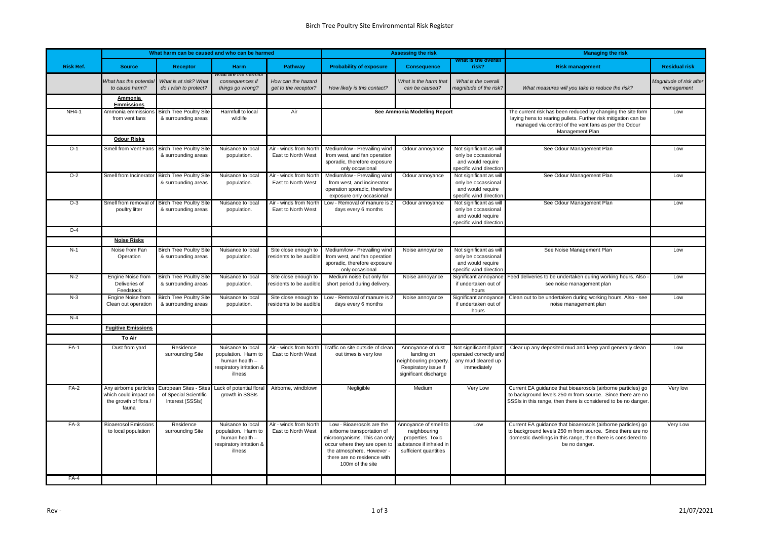|                  | What harm can be caused and who can be harmed                                   |                                                                     |                                                                                                   |                                                 |                                                                                                                                                                                                          | <b>Assessing the risk</b>                                                                                      |                                                                                                                                                                                                           | <b>Managing the risk</b>                                                                                                                                                                                     |                                       |
|------------------|---------------------------------------------------------------------------------|---------------------------------------------------------------------|---------------------------------------------------------------------------------------------------|-------------------------------------------------|----------------------------------------------------------------------------------------------------------------------------------------------------------------------------------------------------------|----------------------------------------------------------------------------------------------------------------|-----------------------------------------------------------------------------------------------------------------------------------------------------------------------------------------------------------|--------------------------------------------------------------------------------------------------------------------------------------------------------------------------------------------------------------|---------------------------------------|
| <b>Risk Ref.</b> | <b>Source</b>                                                                   | Receptor                                                            | <b>Harm</b>                                                                                       | <b>Pathway</b>                                  | <b>Probability of exposure</b>                                                                                                                                                                           | <b>Consequence</b>                                                                                             | VIIRIMESTIILETOVARIN<br>risk?                                                                                                                                                                             | <b>Risk management</b>                                                                                                                                                                                       | <b>Residual risk</b>                  |
|                  | What has the potentia<br>to cause harm?                                         | What is at risk? What<br>do I wish to protect?                      | wnar are me namm<br>consequences if<br>things go wrong?                                           | How can the hazard<br>get to the receptor?      | How likely is this contact?                                                                                                                                                                              | What is the harm that<br>can be caused?                                                                        | What is the overall<br>magnitude of the risk?                                                                                                                                                             | What measures will you take to reduce the risk?                                                                                                                                                              | Magnitude of risk after<br>management |
|                  | Ammonia<br><b>Emmissions</b>                                                    |                                                                     |                                                                                                   |                                                 |                                                                                                                                                                                                          |                                                                                                                |                                                                                                                                                                                                           |                                                                                                                                                                                                              |                                       |
| <b>NH4-1</b>     | Ammonia emmissions<br>from vent fans                                            | <b>Birch Tree Poultry Site</b><br>& surrounding areas               | Harmfull to local<br>wildlife                                                                     | Air                                             | See Ammonia Modelling Report                                                                                                                                                                             |                                                                                                                | The current risk has been reduced by changing the site form<br>laying hens to rearing pullets. Further risk mitigation can be<br>managed via control of the vent fans as per the Odour<br>Management Plan | Low                                                                                                                                                                                                          |                                       |
|                  | <b>Odour Risks</b>                                                              |                                                                     |                                                                                                   |                                                 |                                                                                                                                                                                                          |                                                                                                                |                                                                                                                                                                                                           |                                                                                                                                                                                                              |                                       |
| $O-1$            | Smell from Vent Fans                                                            | <b>Birch Tree Poultry Site</b><br>& surrounding areas               | Nuisance to local<br>population.                                                                  | Air - winds from North<br>East to North West    | Medium/low - Prevailing wind<br>from west, and fan operation<br>sporadic, therefore exposure<br>only occasional                                                                                          | Odour annoyance                                                                                                | Not significant as will<br>only be occassional<br>and would require<br>specific wind direction                                                                                                            | See Odour Management Plan                                                                                                                                                                                    | Low                                   |
| $O-2$            | Smell from Incinerator                                                          | <b>Birch Tree Poultry Site</b><br>& surrounding areas               | Nuisance to local<br>population.                                                                  | Air - winds from North<br>East to North West    | Medium/low - Prevailing wind<br>from west, and incinerator<br>operation sporadic, therefore<br>exposure only occasional                                                                                  | Odour annoyance                                                                                                | Not significant as will<br>only be occassional<br>and would require<br>specific wind direction                                                                                                            | See Odour Management Plan                                                                                                                                                                                    | Low                                   |
| $O-3$            | Smell from removal of<br>poultry litter                                         | <b>Birch Tree Poultry Site</b><br>& surrounding areas               | Nuisance to local<br>population.                                                                  | Air - winds from North<br>East to North West    | Low - Removal of manure is 2<br>days every 6 months                                                                                                                                                      | Odour annoyance                                                                                                | Not significant as will<br>only be occassional<br>and would require<br>specific wind direction                                                                                                            | See Odour Management Plan                                                                                                                                                                                    | Low                                   |
| $O-4$            |                                                                                 |                                                                     |                                                                                                   |                                                 |                                                                                                                                                                                                          |                                                                                                                |                                                                                                                                                                                                           |                                                                                                                                                                                                              |                                       |
|                  | <b>Noise Risks</b>                                                              |                                                                     |                                                                                                   |                                                 |                                                                                                                                                                                                          |                                                                                                                |                                                                                                                                                                                                           |                                                                                                                                                                                                              |                                       |
| $N-1$            | Noise from Fan<br>Operation                                                     | <b>Birch Tree Poultry Site</b><br>& surrounding areas               | Nuisance to local<br>population.                                                                  | Site close enough to<br>residents to be audible | Medium/low - Prevailing wind<br>from west, and fan operation<br>sporadic, therefore exposure<br>only occasional                                                                                          | Noise annoyance                                                                                                | Not significant as will<br>only be occassional<br>and would require<br>specific wind directior                                                                                                            | See Noise Management Plan                                                                                                                                                                                    | Low                                   |
| $N-2$            | <b>Engine Noise from</b><br>Deliveries of<br>Feedstock                          | <b>Birch Tree Poultry Site</b><br>& surrounding areas               | Nuisance to local<br>population.                                                                  | Site close enough to<br>esidents to be audible  | Medium noise but only for<br>short period during delivery.                                                                                                                                               | Noise annoyance                                                                                                | Significant annoyance<br>if undertaken out of<br>hours                                                                                                                                                    | Feed deliveries to be undertaken during working hours. Also<br>see noise management plan                                                                                                                     | Low                                   |
| $N-3$            | Engine Noise from<br>Clean out operation                                        | <b>Birch Tree Poultry Site</b><br>& surrounding areas               | Nuisance to local<br>population.                                                                  | Site close enough to<br>residents to be audible | Low - Removal of manure is<br>days every 6 months                                                                                                                                                        | Noise annoyance                                                                                                | Significant annoyance<br>if undertaken out of<br>hours                                                                                                                                                    | Clean out to be undertaken during working hours. Also - see<br>noise management plan                                                                                                                         | Low                                   |
| $N-4$            |                                                                                 |                                                                     |                                                                                                   |                                                 |                                                                                                                                                                                                          |                                                                                                                |                                                                                                                                                                                                           |                                                                                                                                                                                                              |                                       |
|                  | <b>Fugitive Emissions</b>                                                       |                                                                     |                                                                                                   |                                                 |                                                                                                                                                                                                          |                                                                                                                |                                                                                                                                                                                                           |                                                                                                                                                                                                              |                                       |
| $FA-1$           | To Air<br>Dust from yard                                                        | Residence<br>surrounding Site                                       | Nuisance to local<br>population. Harm to<br>human health -<br>respiratory irritation &<br>illness | Air - winds from North<br>East to North West    | Traffic on site outside of clean<br>out times is very low                                                                                                                                                | Annoyance of dust<br>landing on<br>heighbouring property<br>Respiratory issue if<br>significant discharge      | Not significant if plant<br>operated correctly and<br>any mud cleared up<br>immediately                                                                                                                   | Clear up any deposited mud and keep yard generally clean                                                                                                                                                     | Low                                   |
| $FA-2$           | Any airborne particles<br>which could impact or<br>the growth of flora<br>fauna | European Sites - Sites<br>of Special Scientific<br>Interest (SSSIs) | Lack of potential flora<br>growth in SSSIs                                                        | Airborne, windblown                             | Negligible                                                                                                                                                                                               | Medium                                                                                                         | Very Low                                                                                                                                                                                                  | Current EA guidance that bioaerosols (airborne particles) go<br>to background levels 250 m from source. Since there are no<br>SSSIs in this range, then there is considered to be no danger                  | Very low                              |
| $FA-3$<br>$FA-4$ | <b>Bioaerosol Emissions</b><br>to local population                              | Residence<br>surrounding Site                                       | Nuisance to local<br>population. Harm to<br>human health -<br>respiratory irritation &<br>illness | Air - winds from North<br>East to North West    | Low - Bioaerosols are the<br>airborne transportation of<br>microorganisms. This can only<br>occur where they are open to<br>the atmosphere. However -<br>there are no residence with<br>100m of the site | Annoyance of smell to<br>neighbouring<br>properties. Toxic<br>substance if inhaled in<br>sufficient quantities | Low                                                                                                                                                                                                       | Current EA guidance that bioaerosols (airborne particles) go<br>to background levels 250 m from source. Since there are no<br>domestic dwellings in this range, then there is considered to<br>be no danger. | <b>Very Low</b>                       |
|                  |                                                                                 |                                                                     |                                                                                                   |                                                 |                                                                                                                                                                                                          |                                                                                                                |                                                                                                                                                                                                           |                                                                                                                                                                                                              |                                       |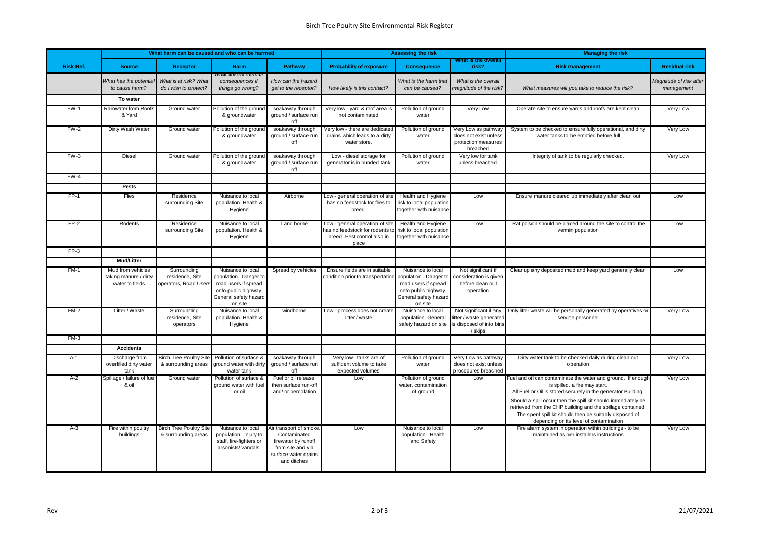|                  |                                                               | What harm can be caused and who can be harmed          |                                                                                                                                |                                                                                                                           |                                                                                                            | <b>Assessing the risk</b>                                                                                                      |                                                                                           | <b>Managing the risk</b>                                                                                                                                                                                                                                                                                                                                                                             |                                       |
|------------------|---------------------------------------------------------------|--------------------------------------------------------|--------------------------------------------------------------------------------------------------------------------------------|---------------------------------------------------------------------------------------------------------------------------|------------------------------------------------------------------------------------------------------------|--------------------------------------------------------------------------------------------------------------------------------|-------------------------------------------------------------------------------------------|------------------------------------------------------------------------------------------------------------------------------------------------------------------------------------------------------------------------------------------------------------------------------------------------------------------------------------------------------------------------------------------------------|---------------------------------------|
| <b>Risk Ref.</b> | <b>Source</b>                                                 | <b>Receptor</b>                                        | Harm                                                                                                                           | Pathway                                                                                                                   | <b>Probability of exposure</b>                                                                             | <b>Consequence</b>                                                                                                             | what is the overall<br>risk?                                                              | <b>Risk management</b>                                                                                                                                                                                                                                                                                                                                                                               | <b>Residual risk</b>                  |
|                  | What has the potentia<br>to cause harm?                       | What is at risk? What<br>do I wish to protect?         | vnat are the namilu<br>consequences if<br>things go wrong?                                                                     | How can the hazard<br>get to the receptor?                                                                                | How likely is this contact?                                                                                | What is the harm that<br>can be caused?                                                                                        | What is the overall<br>magnitude of the risk?                                             | What measures will you take to reduce the risk?                                                                                                                                                                                                                                                                                                                                                      | Magnitude of risk after<br>management |
|                  | To water                                                      |                                                        |                                                                                                                                |                                                                                                                           |                                                                                                            |                                                                                                                                |                                                                                           |                                                                                                                                                                                                                                                                                                                                                                                                      |                                       |
| FW-1             | Rainwater from Roofs<br>& Yard                                | Ground water                                           | Pollution of the ground<br>& groundwater                                                                                       | soakaway through<br>ground / surface run<br>off                                                                           | Very low - yard & roof area is<br>not contaminated                                                         | Pollution of ground<br>water                                                                                                   | Very Low                                                                                  | Operate site to ensure yards and roofs are kept clean                                                                                                                                                                                                                                                                                                                                                | Very Low                              |
| $FW-2$           | Dirty Wash Water                                              | Ground water                                           | Pollution of the ground<br>& groundwater                                                                                       | soakaway through<br>ground / surface run<br>off                                                                           | Very low - there are dedicate<br>drains which leads to a dirty<br>water store.                             | Pollution of ground<br>water                                                                                                   | Very Low as pathway<br>does not exist unless<br>protection measures<br>breached           | System to be checked to ensure fully operational, and dirty<br>water tanks to be emptied before full                                                                                                                                                                                                                                                                                                 | Very Low                              |
| $FW-3$           | Diesel                                                        | Ground water                                           | Pollution of the groun<br>& groundwater                                                                                        | soakaway through<br>ground / surface run<br>off                                                                           | Low - diesel storage for<br>generator is in bunded tank                                                    | Pollution of ground<br>water                                                                                                   | Very low for tank<br>unless breached.                                                     | Integrity of tank to be regularly checked.                                                                                                                                                                                                                                                                                                                                                           | Very Low                              |
| $FW-4$           |                                                               |                                                        |                                                                                                                                |                                                                                                                           |                                                                                                            |                                                                                                                                |                                                                                           |                                                                                                                                                                                                                                                                                                                                                                                                      |                                       |
|                  | Pests                                                         |                                                        |                                                                                                                                |                                                                                                                           |                                                                                                            |                                                                                                                                |                                                                                           |                                                                                                                                                                                                                                                                                                                                                                                                      |                                       |
| $FP-1$           | Flies                                                         | Residence<br>surrounding Site                          | Nuisance to local<br>population. Health &<br>Hygiene                                                                           | Airborne                                                                                                                  | Low - general operation of site<br>has no feedstock for flies to<br>breed.                                 | <b>Health and Hygiene</b><br>risk to local population<br>together with nuisance                                                | Low                                                                                       | Ensure manure cleared up immediately after clean out                                                                                                                                                                                                                                                                                                                                                 | Low                                   |
| $FP-2$           | Rodents                                                       | Residence<br>surrounding Site                          | Nuisance to local<br>population. Health &<br>Hygiene                                                                           | Land borne                                                                                                                | Low - general operation of site<br>has no feedstock for rodents to<br>breed. Pest control also in<br>place | <b>Health and Hygiene</b><br>risk to local population<br>together with nuisance                                                | Low                                                                                       | Rat poison should be placed around the site to control the<br>vermin population                                                                                                                                                                                                                                                                                                                      | Low                                   |
| $FP-3$           |                                                               |                                                        |                                                                                                                                |                                                                                                                           |                                                                                                            |                                                                                                                                |                                                                                           |                                                                                                                                                                                                                                                                                                                                                                                                      |                                       |
|                  | <b>Mud/Litter</b>                                             |                                                        |                                                                                                                                |                                                                                                                           |                                                                                                            |                                                                                                                                |                                                                                           |                                                                                                                                                                                                                                                                                                                                                                                                      |                                       |
| $FM-1$           | Mud from vehicles<br>taking manure / dirty<br>water to fields | Surrounding<br>residence, Site<br>operators, Road User | Nuisance to local<br>population. Danger to<br>road users if spread<br>onto public highway.<br>General safety hazard<br>on site | Spread by vehicles                                                                                                        | Ensure fields are in suitable<br>condition prior to transportation                                         | Nuisance to local<br>population. Danger to<br>road users if spread<br>onto public highway.<br>General safety hazard<br>on site | Not significant if<br>consideration is given<br>before clean out<br>operation             | Clear up any deposited mud and keep yard generally clean                                                                                                                                                                                                                                                                                                                                             | Low                                   |
| $FM-2$           | Litter / Waste                                                | Surrounding<br>residence, Site<br>operators            | Nuisance to local<br>population. Health &<br>Hygiene                                                                           | windborne                                                                                                                 | Low - process does not create<br>litter / waste                                                            | Nuisance to local<br>population. General<br>safety hazard on site                                                              | Not significant if any<br>litter / waste generated<br>is disposed of into bins<br>/ skips | Only litter waste will be personally generated by operatives or<br>service personnel                                                                                                                                                                                                                                                                                                                 | <b>Very Low</b>                       |
| $FM-3$           |                                                               |                                                        |                                                                                                                                |                                                                                                                           |                                                                                                            |                                                                                                                                |                                                                                           |                                                                                                                                                                                                                                                                                                                                                                                                      |                                       |
|                  | <b>Accidents</b>                                              |                                                        |                                                                                                                                |                                                                                                                           |                                                                                                            |                                                                                                                                |                                                                                           |                                                                                                                                                                                                                                                                                                                                                                                                      |                                       |
| $A-1$            | Discharge from<br>overfilled dirty water<br>tank              | <b>Birch Tree Poultry Site</b><br>& surrounding areas  | Pollution of surface &<br>ground water with dirty<br>water tank                                                                | soakaway through<br>ground / surface run<br>∩ff                                                                           | Very low - tanks are of<br>sufficent volume to take<br>expected volumes                                    | Pollution of ground<br>water                                                                                                   | Very Low as pathway<br>does not exist unless<br>procedures breached                       | Dirty water tank to be checked daily during clean out<br>operation                                                                                                                                                                                                                                                                                                                                   | Very Low                              |
| $A-2$            | Spillage / failure of fue<br>& oil                            | Ground water                                           | Pollution of surface &<br>ground water with fuel<br>or oil                                                                     | Fuel or oil release,<br>then surface run-off<br>and/ or percolation                                                       | Low                                                                                                        | Pollution of ground<br>water, contamination<br>of ground                                                                       | Low                                                                                       | Fuel and oil can contaminate the water and ground. If enough<br>is spilled, a fire may start.<br>All Fuel or Oil is stored securely in the generator Building.<br>Should a spill occur then the spill kit should immediately be<br>retrieved from the CHP building and the spillage contained.<br>The spent spill kit should then be suitably disposed of<br>depending on its level of contamination | Very Low                              |
| $A-3$            | Fire within poultry<br>buildings                              | <b>Birch Tree Poultry Site</b><br>& surrounding areas  | Nuisance to local<br>population. Injury to<br>staff, fire-fighters or<br>arsonists/ vandals.                                   | Air transport of smoke<br>Contaminated<br>firewater by runoff<br>from site and via<br>surface water drains<br>and ditches | Low                                                                                                        | Nuisance to local<br>population. Health<br>and Safety                                                                          | Low                                                                                       | Fire alarm system in operation within buildings - to be<br>maintained as per installers instructions                                                                                                                                                                                                                                                                                                 | Very Low                              |